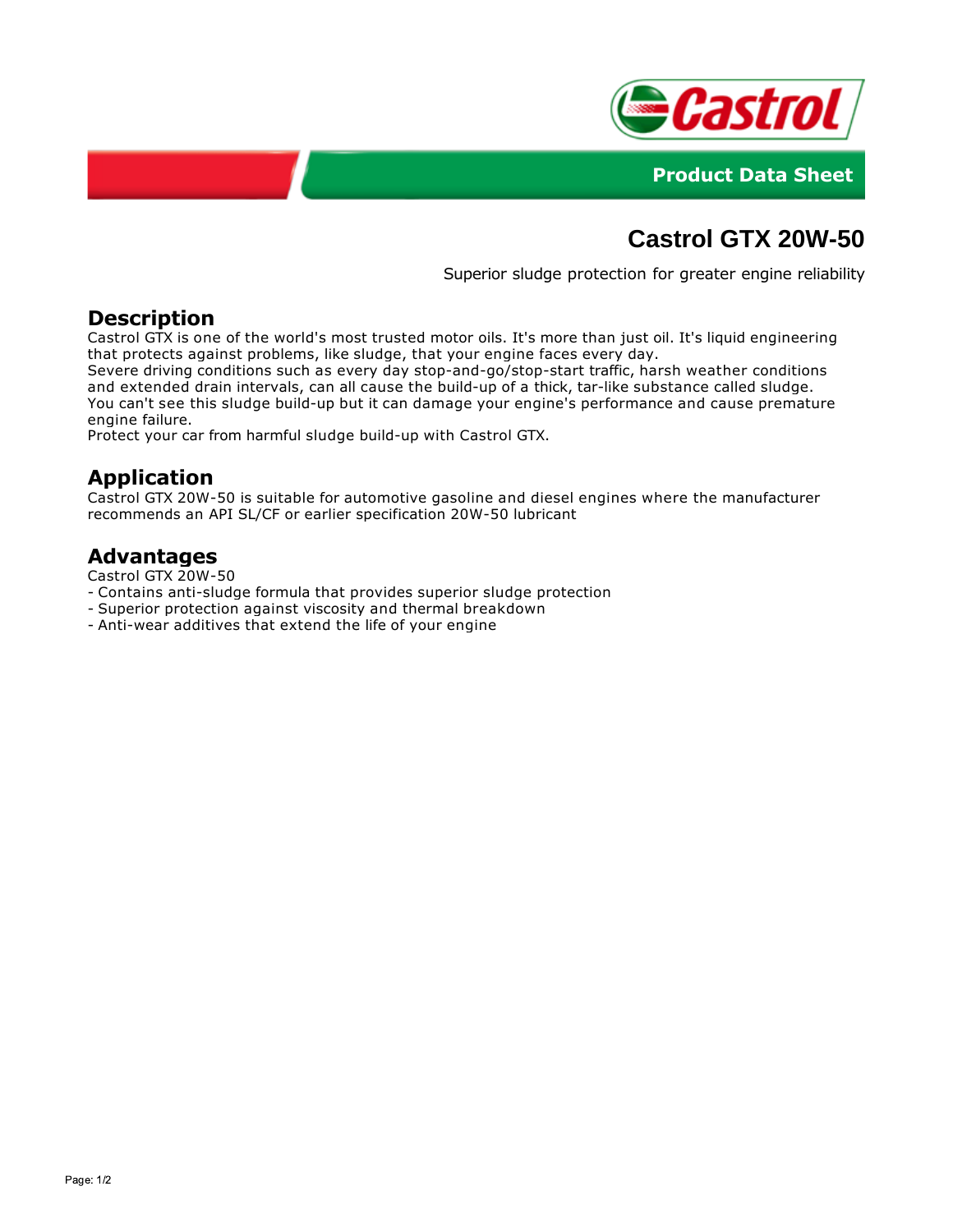



# **Castrol GTX 20W-50**

Superior sludge protection for greater engine reliability

### **Description**

Castrol GTX is one of the world's most trusted motor oils. It's more than just oil. It's liquid engineering that protects against problems, like sludge, that your engine faces every day.

Severe driving conditions such as every day stop-and-go/stop-start traffic, harsh weather conditions and extended drain intervals, can all cause the build-up of a thick, tar-like substance called sludge. You can't see this sludge build-up but it can damage your engine's performance and cause premature engine failure.

Protect your car from harmful sludge build-up with Castrol GTX.

## **Application**

Castrol GTX 20W-50 is suitable for automotive gasoline and diesel engines where the manufacturer recommends an API SL/CF or earlier specification 20W-50 lubricant

#### **Advantages**

Castrol GTX 20W-50

- Contains anti-sludge formula that provides superior sludge protection
- Superior protection against viscosity and thermal breakdown
- Anti-wear additives that extend the life of your engine